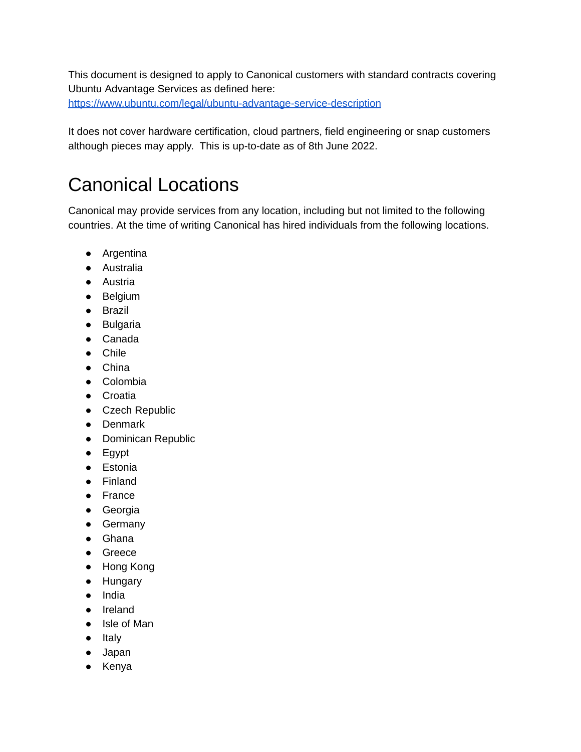This document is designed to apply to Canonical customers with standard contracts covering Ubuntu Advantage Services as defined here: <https://www.ubuntu.com/legal/ubuntu-advantage-service-description>

It does not cover hardware certification, cloud partners, field engineering or snap customers although pieces may apply. This is up-to-date as of 8th June 2022.

## Canonical Locations

Canonical may provide services from any location, including but not limited to the following countries. At the time of writing Canonical has hired individuals from the following locations.

- Argentina
- Australia
- Austria
- Belgium
- Brazil
- Bulgaria
- Canada
- Chile
- China
- Colombia
- Croatia
- Czech Republic
- Denmark
- Dominican Republic
- Egypt
- Estonia
- Finland
- France
- Georgia
- Germany
- Ghana
- Greece
- Hong Kong
- Hungary
- India
- Ireland
- Isle of Man
- Italy
- Japan
- Kenya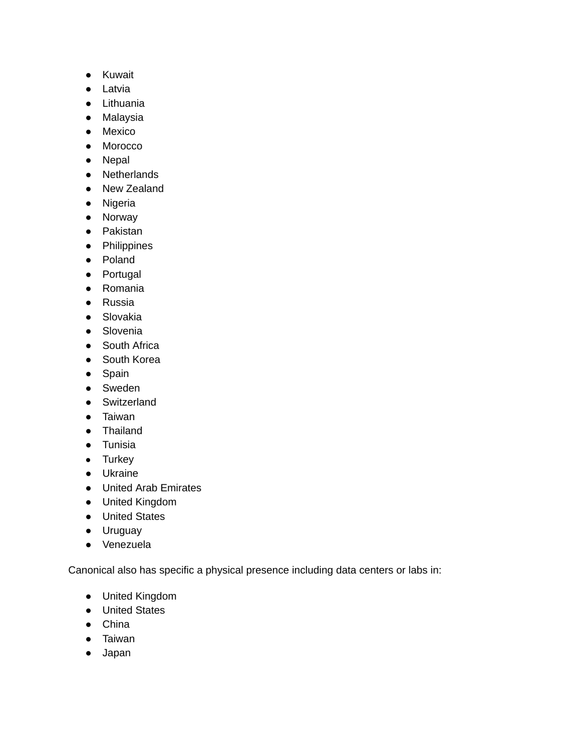- Kuwait
- Latvia
- Lithuania
- Malaysia
- Mexico
- Morocco
- Nepal
- Netherlands
- New Zealand
- Nigeria
- Norway
- Pakistan
- Philippines
- Poland
- Portugal
- Romania
- Russia
- Slovakia
- Slovenia
- South Africa
- South Korea
- Spain
- Sweden
- Switzerland
- Taiwan
- Thailand
- Tunisia
- Turkey
- Ukraine
- United Arab Emirates
- United Kingdom
- United States
- Uruguay
- Venezuela

Canonical also has specific a physical presence including data centers or labs in:

- United Kingdom
- United States
- China
- Taiwan
- Japan